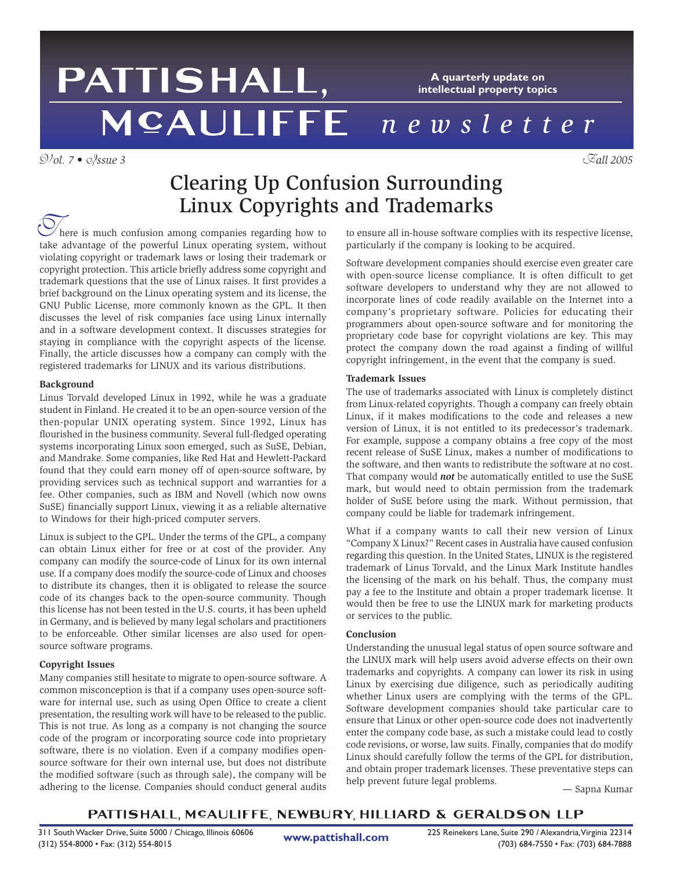## PATTISHALL, **A quarterly update on intellectual property topics** *newsletter*

V*ol. 7 •* I*ssue 3* F*all 2005*

# Clearing Up Confusion Surrounding Linux Copyrights and Trademarks

here is much confusion among companies regarding how to There is much confusion among companies regarding how to take advantage of the powerful Linux operating system, without violating copyright or trademark laws or losing their trademark or copyright protection. This article briefly address some copyright and trademark questions that the use of Linux raises. It first provides a brief background on the Linux operating system and its license, the GNU Public License, more commonly known as the GPL. It then discusses the level of risk companies face using Linux internally and in a software development context. It discusses strategies for staying in compliance with the copyright aspects of the license. Finally, the article discusses how a company can comply with the registered trademarks for LINUX and its various distributions.

## **Background**

Linus Torvald developed Linux in 1992, while he was a graduate student in Finland. He created it to be an open-source version of the then-popular UNIX operating system. Since 1992, Linux has flourished in the business community. Several full-fledged operating systems incorporating Linux soon emerged, such as SuSE, Debian, and Mandrake. Some companies, like Red Hat and Hewlett-Packard found that they could earn money off of open-source software, by providing services such as technical support and warranties for a fee. Other companies, such as IBM and Novell (which now owns SuSE) financially support Linux, viewing it as a reliable alternative to Windows for their high-priced computer servers.

Linux is subject to the GPL. Under the terms of the GPL, a company can obtain Linux either for free or at cost of the provider. Any company can modify the source-code of Linux for its own internal use. If a company does modify the source-code of Linux and chooses to distribute its changes, then it is obligated to release the source code of its changes back to the open-source community. Though this license has not been tested in the U.S. courts, it has been upheld in Germany, and is believed by many legal scholars and practitioners to be enforceable. Other similar licenses are also used for opensource software programs.

## **Copyright Issues**

Many companies still hesitate to migrate to open-source software. A common misconception is that if a company uses open-source software for internal use, such as using Open Office to create a client presentation, the resulting work will have to be released to the public. This is not true. As long as a company is not changing the source code of the program or incorporating source code into proprietary software, there is no violation. Even if a company modifies opensource software for their own internal use, but does not distribute the modified software (such as through sale), the company will be adhering to the license. Companies should conduct general audits

to ensure all in-house software complies with its respective license, particularly if the company is looking to be acquired.

Software development companies should exercise even greater care with open-source license compliance. It is often difficult to get software developers to understand why they are not allowed to incorporate lines of code readily available on the Internet into a company's proprietary software. Policies for educating their programmers about open-source software and for monitoring the proprietary code base for copyright violations are key. This may protect the company down the road against a finding of willful copyright infringement, in the event that the company is sued.

## **Trademark Issues**

The use of trademarks associated with Linux is completely distinct from Linux-related copyrights. Though a company can freely obtain Linux, if it makes modifications to the code and releases a new version of Linux, it is not entitled to its predecessor's trademark. For example, suppose a company obtains a free copy of the most recent release of SuSE Linux, makes a number of modifications to the software, and then wants to redistribute the software at no cost. That company would *not* be automatically entitled to use the SuSE mark, but would need to obtain permission from the trademark holder of SuSE before using the mark. Without permission, that company could be liable for trademark infringement.

What if a company wants to call their new version of Linux "Company X Linux?" Recent cases in Australia have caused confusion regarding this question. In the United States, LINUX is the registered trademark of Linus Torvald, and the Linux Mark Institute handles the licensing of the mark on his behalf. Thus, the company must pay a fee to the Institute and obtain a proper trademark license. It would then be free to use the LINUX mark for marketing products or services to the public.

### **Conclusion**

Understanding the unusual legal status of open source software and the LINUX mark will help users avoid adverse effects on their own trademarks and copyrights. A company can lower its risk in using Linux by exercising due diligence, such as periodically auditing whether Linux users are complying with the terms of the GPL. Software development companies should take particular care to ensure that Linux or other open-source code does not inadvertently enter the company code base, as such a mistake could lead to costly code revisions, or worse, law suits. Finally, companies that do modify Linux should carefully follow the terms of the GPL for distribution, and obtain proper trademark licenses. These preventative steps can help prevent future legal problems. — Sapna Kumar

PATTISHALL, MCAULIFFE, NEWBURY, HILLIARD & GERALDSON LLP

**www.pattishall.com**